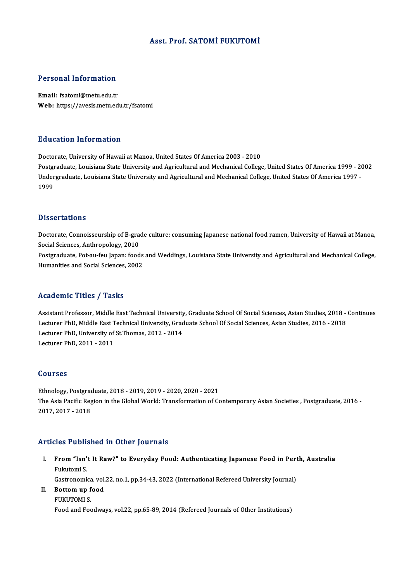# Asst. Prof. SATOMİ FUKUTOMİ

### Personal Information

Email: fsatomi@metu.edu.tr Web: https://avesis.metu.edu.tr/fsatomi

#### Education Information

Doctorate, University of Hawaii at Manoa, United States Of America 2003 - 2010 Postgraduate, Louisiana State University and Agricultural and Mechanical College, United States Of America 1999 - 2002 Doctorate, University of Hawaii at Manoa, United States Of America 2003 - 2010<br>Postgraduate, Louisiana State University and Agricultural and Mechanical College, United States Of America 1999 - 2<br>Undergraduate, Louisiana St Postgi<br>Under<br>1999 1999<br>Dissertations

Doctorate, Connoisseurship of B-grade culture: consuming Japanese national food ramen, University of Hawaii at Manoa, Bissocial<br>Social Sciences, Anthropology, 2010<br>Bestauduste, Bet au fau Japan: food Postgraduate, Pot-au-feu Japan: foods and Weddings, Louisiana State University and Agricultural and Mechanical College,<br>Humanities and Social Sciences, 2002 Social Sciences, Anthropology, 2010<br>Postgraduate, Pot-au-feu Japan: foods<br>Humanities and Social Sciences, 2002

# Academic Titles / Tasks

Academic Titles / Tasks<br>Assistant Professor, Middle East Technical University, Graduate School Of Social Sciences, Asian Studies, 2018 - Continues<br>Lecturer PhD, Middle East Technical University, Craduate School Of Social S LecturerIII (Fricht) | Tablis<br>Assistant Professor, Middle East Technical University, Graduate School Of Social Sciences, Asian Studies, 2018<br>Lecturer PhD, Middle East Technical University, Graduate School Of Social Science Assistant Professor, Middle East Technical University<br>Lecturer PhD, Middle East Technical University, Grac<br>Lecturer PhD, University of St.Thomas, 2012 - 2014<br>Lecturer PhD, 2011 - 2011 Lecturer PhD, Middle East Technical University, Graduate School Of Social Sciences, Asian Studies, 2016 - 2018<br>Lecturer PhD, University of St.Thomas, 2012 - 2014<br>Lecturer PhD, 2011 - 2011

#### Courses

Courses<br>Ethnology, Postgraduate, 2018 - 2019, 2019 - 2020, 2020 - 2021<br>The Asia Posific Pesian in the Clabel Werld: Transformation of Co The Asia Pacific Region in the Global World: Transformation of Contemporary Asian Societies , Postgraduate, 2016 -<br>2017, 2017 - 2018 Ethnology, Postgrad<br>The Asia Pacific Reg<br>2017, 2017 - 2018

#### Articles Published in Other Journals

- rticles Published in Other Journals<br>I. From "Isn't It Raw?" to Everyday Food: Authenticating Japanese Food in Perth, Australia<br>Rulatomi S From "Isn'<br>From "Isn'<br>Fukutomi S. From "Isn't It Raw?" to Everyday Food: Authenticating Japanese Food in Pert<br>Fukutomi S.<br>Gastronomica, vol.22, no.1, pp.34-43, 2022 (International Refereed University Journal)<br>Pettem un food Fukutomi S.<br>Gastronomica, vol.<br>II. Bottom up food Gastronomica<br>**Bottom up f**<br>FUKUTOMI S.<br>Food and Foo
- 

II. Bottom up food<br>FUKUTOMI S.<br>Food and Foodways, vol.22, pp.65-89, 2014 (Refereed Journals of Other Institutions)